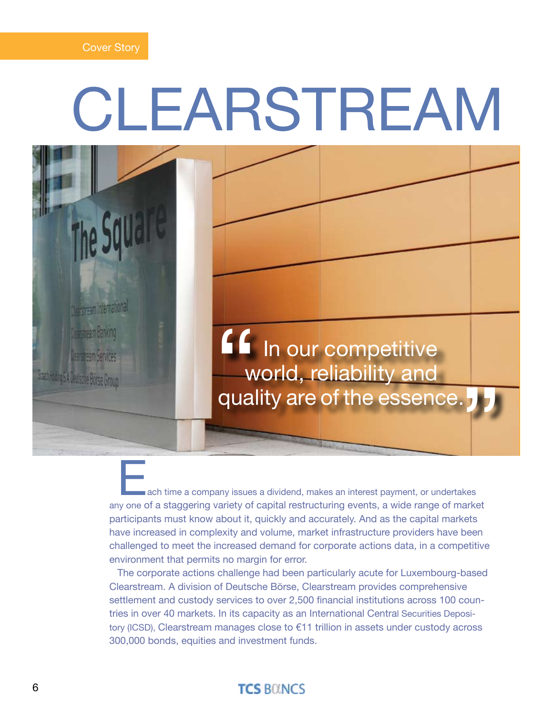# **CLEARSTREAM**



ach time a company issues a dividend, makes an interest payment, or undertakes any one of a staggering variety of capital restructuring events, a wide range of market participants must know about it, quickly and accurately. And as the capital markets have increased in complexity and volume, market infrastructure providers have been challenged to meet the increased demand for corporate actions data, in a competitive environment that permits no margin for error.

The corporate actions challenge had been particularly acute for Luxembourg-based Clearstream. A division of Deutsche Börse, Clearstream provides comprehensive settlement and custody services to over 2,500 financial institutions across 100 countries in over 40 markets. In its capacity as an International Central Securities Depository (ICSD), Clearstream manages close to €11 trillion in assets under custody across 300,000 bonds, equities and investment funds.

### **TCS BOINCS**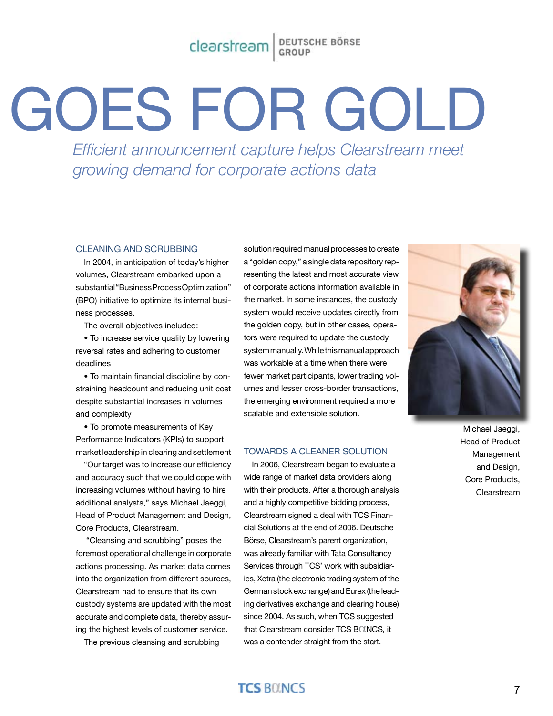## Clearstream BEUTSCHE BÖRSE

# GOES FOR GOLD

*Efficient announcement capture helps Clearstream meet growing demand for corporate actions data* 

#### Cleaning and Scrubbing

In 2004, in anticipation of today's higher volumes, Clearstream embarked upon a substantial "Business Process Optimization" (BPO) initiative to optimize its internal business processes.

The overall objectives included:

• To increase service quality by lowering reversal rates and adhering to customer deadlines

• To maintain financial discipline by constraining headcount and reducing unit cost despite substantial increases in volumes and complexity

• To promote measurements of Key Performance Indicators (KPIs) to support market leadership in clearing and settlement

"Our target was to increase our efficiency and accuracy such that we could cope with increasing volumes without having to hire additional analysts," says Michael Jaeggi, Head of Product Management and Design, Core Products, Clearstream.

 "Cleansing and scrubbing" poses the foremost operational challenge in corporate actions processing. As market data comes into the organization from different sources, Clearstream had to ensure that its own custody systems are updated with the most accurate and complete data, thereby assuring the highest levels of customer service.

The previous cleansing and scrubbing

solution required manual processes to create a "golden copy," a single data repository representing the latest and most accurate view of corporate actions information available in the market. In some instances, the custody system would receive updates directly from the golden copy, but in other cases, operators were required to update the custody system manually. While this manual approach was workable at a time when there were fewer market participants, lower trading volumes and lesser cross-border transactions, the emerging environment required a more scalable and extensible solution.

#### Towards a Cleaner Solution

In 2006, Clearstream began to evaluate a wide range of market data providers along with their products. After a thorough analysis and a highly competitive bidding process, Clearstream signed a deal with TCS Financial Solutions at the end of 2006. Deutsche Börse, Clearstream's parent organization, was already familiar with Tata Consultancy Services through TCS' work with subsidiaries, Xetra (the electronic trading system of the German stock exchange) and Eurex (the leading derivatives exchange and clearing house) since 2004. As such, when TCS suggested that Clearstream consider TCS BOINCS, it was a contender straight from the start.



Michael Jaeggi, Head of Product Management and Design, Core Products, Clearstream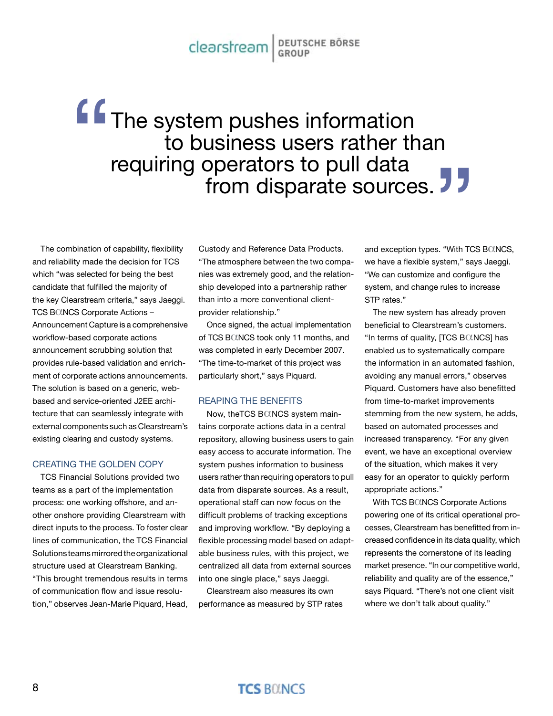## Clearstream BEUTSCHE BÖRSE

# The system pushes information to business users rather than requiring operators to pull data **from disparate sources.** " **J**<br>S. "With TC

The combination of capability, flexibility and reliability made the decision for TCS which "was selected for being the best candidate that fulfilled the majority of the key Clearstream criteria," says Jaeggi. TCS BOINCS Corporate Actions -Announcement Capture is a comprehensive workflow-based corporate actions announcement scrubbing solution that provides rule-based validation and enrichment of corporate actions announcements. The solution is based on a generic, webbased and service-oriented J2EE architecture that can seamlessly integrate with external components such as Clearstream's existing clearing and custody systems.

#### Creating the Golden Copy

TCS Financial Solutions provided two teams as a part of the implementation process: one working offshore, and another onshore providing Clearstream with direct inputs to the process. To foster clear lines of communication, the TCS Financial Solutions teams mirrored the organizational structure used at Clearstream Banking. "This brought tremendous results in terms of communication flow and issue resolution," observes Jean-Marie Piquard, Head,

Custody and Reference Data Products. "The atmosphere between the two companies was extremely good, and the relationship developed into a partnership rather than into a more conventional clientprovider relationship."

Once signed, the actual implementation of TCS BCINCS took only 11 months, and was completed in early December 2007. "The time-to-market of this project was particularly short," says Piquard.

#### Reaping the Benefits

Now, theTCS BCINCS system maintains corporate actions data in a central repository, allowing business users to gain easy access to accurate information. The system pushes information to business users rather than requiring operators to pull data from disparate sources. As a result, operational staff can now focus on the difficult problems of tracking exceptions and improving workflow. "By deploying a flexible processing model based on adaptable business rules, with this project, we centralized all data from external sources into one single place," says Jaeggi.

Clearstream also measures its own performance as measured by STP rates and exception types. "With TCS BOINCS, we have a flexible system," says Jaeggi. "We can customize and configure the system, and change rules to increase STP rates."

The new system has already proven beneficial to Clearstream's customers. "In terms of quality, [TCS BOINCS] has enabled us to systematically compare the information in an automated fashion, avoiding any manual errors," observes Piquard. Customers have also benefitted from time-to-market improvements stemming from the new system, he adds, based on automated processes and increased transparency. "For any given event, we have an exceptional overview of the situation, which makes it very easy for an operator to quickly perform appropriate actions."

With TCS BOINCS Corporate Actions powering one of its critical operational processes, Clearstream has benefitted from increased confidence in its data quality, which represents the cornerstone of its leading market presence. "In our competitive world, reliability and quality are of the essence," says Piquard. "There's not one client visit where we don't talk about quality."

### **TCS BOINCS**